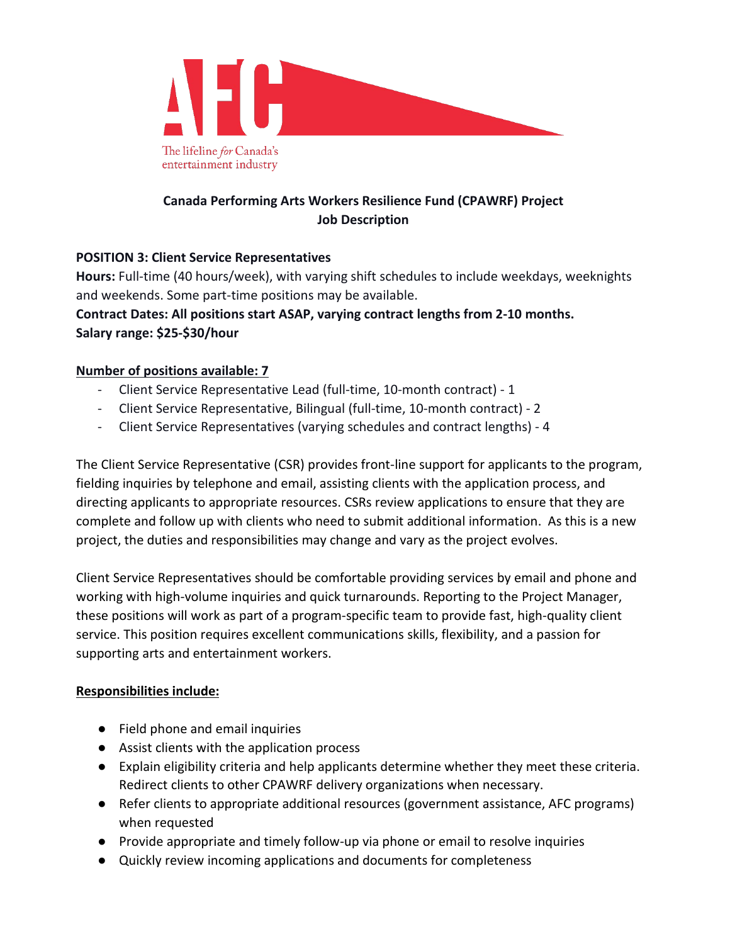

# **Canada Performing Arts Workers Resilience Fund (CPAWRF) Project Job Description**

# **POSITION 3: Client Service Representatives**

**Hours:** Full-time (40 hours/week), with varying shift schedules to include weekdays, weeknights and weekends. Some part-time positions may be available.

**Contract Dates: All positions start ASAP, varying contract lengths from 2-10 months. Salary range: \$25-\$30/hour**

# **Number of positions available: 7**

- Client Service Representative Lead (full-time, 10-month contract) 1
- Client Service Representative, Bilingual (full-time, 10-month contract) 2
- Client Service Representatives (varying schedules and contract lengths) 4

The Client Service Representative (CSR) provides front-line support for applicants to the program, fielding inquiries by telephone and email, assisting clients with the application process, and directing applicants to appropriate resources. CSRs review applications to ensure that they are complete and follow up with clients who need to submit additional information. As this is a new project, the duties and responsibilities may change and vary as the project evolves.

Client Service Representatives should be comfortable providing services by email and phone and working with high-volume inquiries and quick turnarounds. Reporting to the Project Manager, these positions will work as part of a program-specific team to provide fast, high-quality client service. This position requires excellent communications skills, flexibility, and a passion for supporting arts and entertainment workers.

#### **Responsibilities include:**

- Field phone and email inquiries
- Assist clients with the application process
- Explain eligibility criteria and help applicants determine whether they meet these criteria. Redirect clients to other CPAWRF delivery organizations when necessary.
- Refer clients to appropriate additional resources (government assistance, AFC programs) when requested
- Provide appropriate and timely follow-up via phone or email to resolve inquiries
- Quickly review incoming applications and documents for completeness